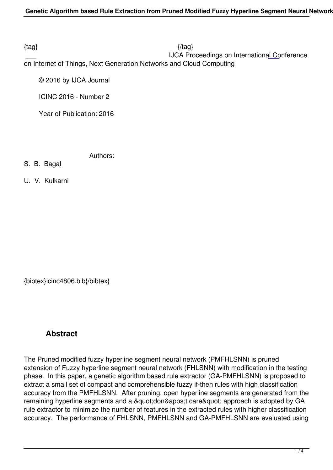$\{tag\}$ 

 IJCA Proceedings on International Conference on Internet of Things, Next Generation Networks and Cloud Computing

© 2016 by IJCA Journal

ICINC 2016 - Number 2

Year of Publication: 2016

Authors:

S. B. Bagal

U. V. Kulkarni

{bibtex}icinc4806.bib{/bibtex}

# **Abstract**

The Pruned modified fuzzy hyperline segment neural network (PMFHLSNN) is pruned extension of Fuzzy hyperline segment neural network (FHLSNN) with modification in the testing phase. In this paper, a genetic algorithm based rule extractor (GA-PMFHLSNN) is proposed to extract a small set of compact and comprehensible fuzzy if-then rules with high classification accuracy from the PMFHLSNN. After pruning, open hyperline segments are generated from the remaining hyperline segments and a " don' t care" approach is adopted by GA rule extractor to minimize the number of features in the extracted rules with higher classification accuracy. The performance of FHLSNN, PMFHLSNN and GA-PMFHLSNN are evaluated using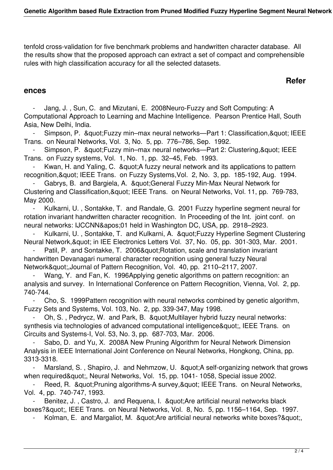tenfold cross-validation for five benchmark problems and handwritten character database. All the results show that the proposed approach can extract a set of compact and comprehensible rules with high classification accuracy for all the selected datasets.

## **Refer**

### **ences**

 - Jang, J. , Sun, C. and Mizutani, E. 2008Neuro-Fuzzy and Soft Computing: A Computational Approach to Learning and Machine Intelligence. Pearson Prentice Hall, South Asia, New Delhi, India.

- Simpson, P. & quot; Fuzzy min–max neural networks—Part 1: Classification, & quot; IEEE Trans. on Neural Networks, Vol. 3, No. 5, pp. 776–786, Sep. 1992.

Simpson, P. & quot; Fuzzy min–max neural networks—Part 2: Clustering, & quot; IEEE Trans. on Fuzzy systems, Vol. 1, No. 1, pp. 32–45, Feb. 1993.

Kwan, H. and Yaling, C. & quot; A fuzzy neural network and its applications to pattern recognition, & quot; IEEE Trans. on Fuzzy Systems, Vol. 2, No. 3, pp. 185-192, Aug. 1994.

Gabrys, B. and Bargiela, A. " General Fuzzy Min-Max Neural Network for Clustering and Classification, & quot; IEEE Trans. on Neural Networks, Vol. 11, pp. 769-783, May 2000.

Kulkarni, U., Sontakke, T. and Randale, G. 2001 Fuzzy hyperline segment neural for rotation invariant handwritten character recognition. In Proceeding of the Int. joint conf. on neural networks: IJCCNN'01 held in Washington DC, USA, pp. 2918–2923.

Kulkarni, U., Sontakke, T. and Kulkarni, A. " Fuzzy Hyperline Segment Clustering Neural Network, & quot; in IEE Electronics Letters Vol. 37, No. 05, pp. 301-303, Mar. 2001.

Patil, P. and Sontakke, T. 2006" Rotation, scale and translation invariant handwritten Devanagari numeral character recognition using general fuzzy Neural Network",Journal of Pattern Recognition, Vol. 40, pp. 2110–2117, 2007.

Wang, Y. and Fan, K. 1996Applying genetic algorithms on pattern recognition: an analysis and survey. In International Conference on Pattern Recognition, Vienna, Vol. 2, pp. 740-744.

 - Cho, S. 1999Pattern recognition with neural networks combined by genetic algorithm, Fuzzy Sets and Systems, Vol. 103, No. 2, pp. 339-347, May 1998.

Oh, S., Pedrycz, W. and Park, B. & aupt: Multilayer hybrid fuzzy neural networks: synthesis via technologies of advanced computational intelligence", IEEE Trans. on Circuits and Systems-I, Vol. 53, No. 3, pp. 687-703, Mar. 2006.

Sabo, D. and Yu, X. 2008A New Pruning Algorithm for Neural Network Dimension Analysis in IEEE International Joint Conference on Neural Networks, Hongkong, China, pp. 3313-3318.

Marsland, S., Shapiro, J. and Nehmzow, U. & quot; A self-organizing network that grows when required & quot;, Neural Networks, Vol. 15, pp. 1041- 1058, Special issue 2002.

Reed, R. & quot; Pruning algorithms-A survey, & quot; IEEE Trans. on Neural Networks, Vol. 4, pp. 740-747, 1993.

Benitez, J., Castro, J. and Requena, I. " Are artificial neural networks black boxes?", IEEE Trans. on Neural Networks, Vol. 8, No. 5, pp. 1156–1164, Sep. 1997.

Kolman, E. and Margaliot, M. & quot; Are artificial neural networks white boxes? & quot;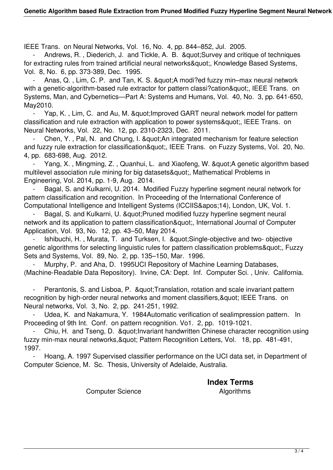IEEE Trans. on Neural Networks, Vol. 16, No. 4, pp. 844–852, Jul. 2005.

Andrews, R., Diederich, J. and Tickle, A. B. & quot; Survey and critique of techniques for extracting rules from trained artificial neural networks", Knowledge Based Systems, Vol. 8, No. 6, pp. 373-389, Dec. 1995.

Anas, Q., Lim, C. P. and Tan, K. S. & quot; A modi?ed fuzzy min–max neural network with a genetic-algorithm-based rule extractor for pattern classi?cation", IEEE Trans. on Systems, Man, and Cybernetics—Part A: Systems and Humans, Vol. 40, No. 3, pp. 641-650, May2010.

Yap, K., Lim, C. and Au, M. & aupt: Improved GART neural network model for pattern classification and rule extraction with application to power systems", IEEE Trans. on Neural Networks, Vol. 22, No. 12, pp. 2310-2323, Dec. 2011.

Chen, Y., Pal, N. and Chung, I. & au ot: An integrated mechanism for feature selection and fuzzy rule extraction for classification", IEEE Trans. on Fuzzy Systems, Vol. 20, No. 4, pp. 683-698, Aug. 2012.

Yang, X., Mingming, Z., Quanhui, L. and Xiaofeng, W. & auot; A genetic algorithm based multilevel association rule mining for big datasets", Mathematical Problems in Engineering, Vol. 2014, pp. 1-9, Aug. 2014.

Bagal, S. and Kulkarni, U. 2014. Modified Fuzzy hyperline segment neural network for pattern classification and recognition. In Proceeding of the International Conference of Computational Intelligence and Intelligent Systems (ICCIIS&apos:14), London, UK, Vol. 1.

Bagal, S. and Kulkarni, U. " Pruned modified fuzzy hyperline segment neural network and its application to pattern classification", International Journal of Computer Application, Vol. 93, No. 12, pp. 43–50, May 2014.

Ishibuchi, H., Murata, T. and Turksen, I. "Single-objective and two- objective genetic algorithms for selecting linguistic rules for pattern classification problems&quot:, Fuzzy Sets and Systems, Vol. 89, No. 2, pp. 135–150, Mar. 1996.

Murphy, P. and Aha, D. 1995UCI Repository of Machine Learning Databases, (Machine-Readable Data Repository). Irvine, CA: Dept. Inf. Computer Sci. , Univ. California.

Perantonis, S. and Lisboa, P. & au at; Translation, rotation and scale invariant pattern recognition by high-order neural networks and moment classifiers, & quot; IEEE Trans. on Neural networks, Vol. 3, No. 2, pp. 241-251, 1992.

Udea, K. and Nakamura, Y. 1984Automatic verification of sealimpression pattern. In Proceeding of 9th Int. Conf. on pattern recognition. Vo1. 2, pp. 1019-1021.

Chiu, H. and Tseng, D. & quot; Invariant handwritten Chinese character recognition using fuzzy min-max neural networks, & quot: Pattern Recognition Letters, Vol. 18, pp. 481-491, 1997.

Hoang, A. 1997 Supervised classifier performance on the UCI data set, in Department of Computer Science, M. Sc. Thesis, University of Adelaide, Australia.

**Index Terms** 

Computer Science **Algorithms**